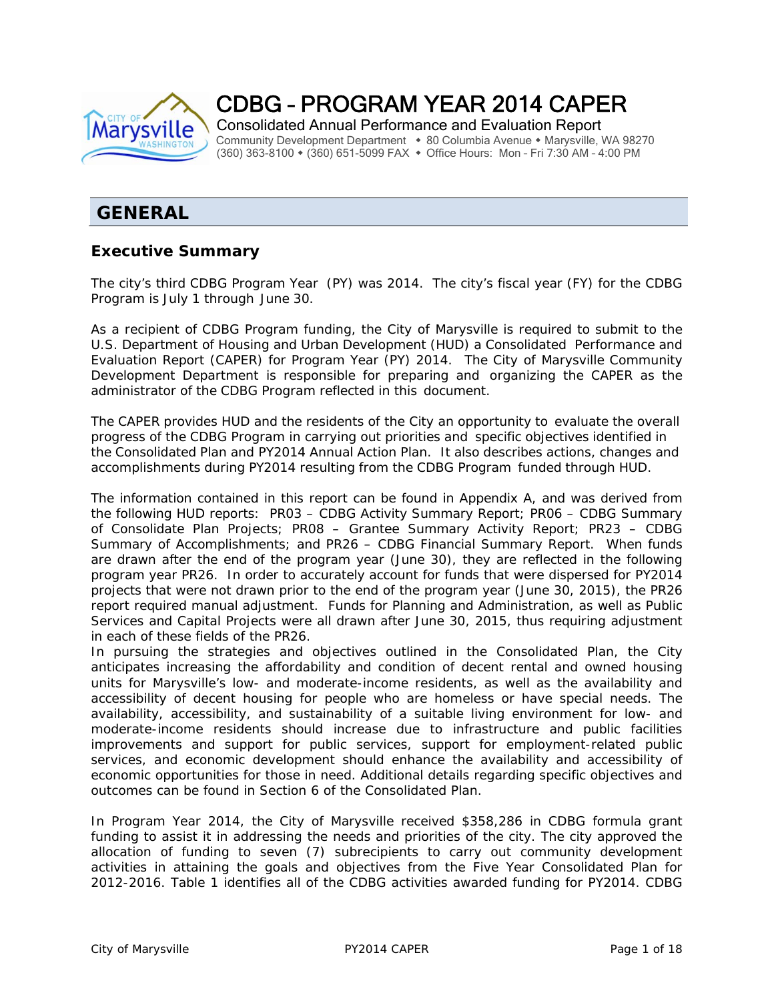

CDBG – PROGRAM YEAR 2014 CAPER

Consolidated Annual Performance and Evaluation Report Community Development Department • 80 Columbia Avenue • Marysville, WA 98270 (360) 363-8100 (360) 651-5099 FAX Office Hours: Mon – Fri 7:30 AM – 4:00 PM

# **GENERAL**

## **Executive Summary**

The city's third CDBG Program Year (PY) was 2014. The city's fiscal year (FY) for the CDBG Program is July 1 through June 30.

As a recipient of CDBG Program funding, the City of Marysville is required to submit to the U.S. Department of Housing and Urban Development (HUD) a Consolidated Performance and Evaluation Report (CAPER) for Program Year (PY) 2014. The City of Marysville Community Development Department is responsible for preparing and organizing the CAPER as the administrator of the CDBG Program reflected in this document.

The CAPER provides HUD and the residents of the City an opportunity to evaluate the overall progress of the CDBG Program in carrying out priorities and specific objectives identified in the Consolidated Plan and PY2014 Annual Action Plan. It also describes actions, changes and accomplishments during PY2014 resulting from the CDBG Program funded through HUD.

The information contained in this report can be found in *Appendix A*, and was derived from the following HUD reports: PR03 – CDBG Activity Summary Report; PR06 – CDBG Summary of Consolidate Plan Projects; PR08 – Grantee Summary Activity Report; PR23 – CDBG Summary of Accomplishments; and PR26 – CDBG Financial Summary Report. When funds are drawn after the end of the program year (June 30), they are reflected in the following program year PR26. In order to accurately account for funds that were dispersed for PY2014 projects that were not drawn prior to the end of the program year (June 30, 2015), the PR26 report required manual adjustment. Funds for Planning and Administration, as well as Public Services and Capital Projects were all drawn after June 30, 2015, thus requiring adjustment in each of these fields of the PR26.

In pursuing the strategies and objectives outlined in the Consolidated Plan, the City anticipates increasing the affordability and condition of decent rental and owned housing units for Marysville's low- and moderate-income residents, as well as the availability and accessibility of decent housing for people who are homeless or have special needs. The availability, accessibility, and sustainability of a suitable living environment for low- and moderate-income residents should increase due to infrastructure and public facilities improvements and support for public services, support for employment-related public services, and economic development should enhance the availability and accessibility of economic opportunities for those in need. Additional details regarding specific objectives and outcomes can be found in Section 6 of the Consolidated Plan.

In Program Year 2014, the City of Marysville received \$358,286 in CDBG formula grant funding to assist it in addressing the needs and priorities of the city. The city approved the allocation of funding to seven (7) subrecipients to carry out community development activities in attaining the goals and objectives from the Five Year Consolidated Plan for 2012-2016. Table 1 identifies all of the CDBG activities awarded funding for PY2014. CDBG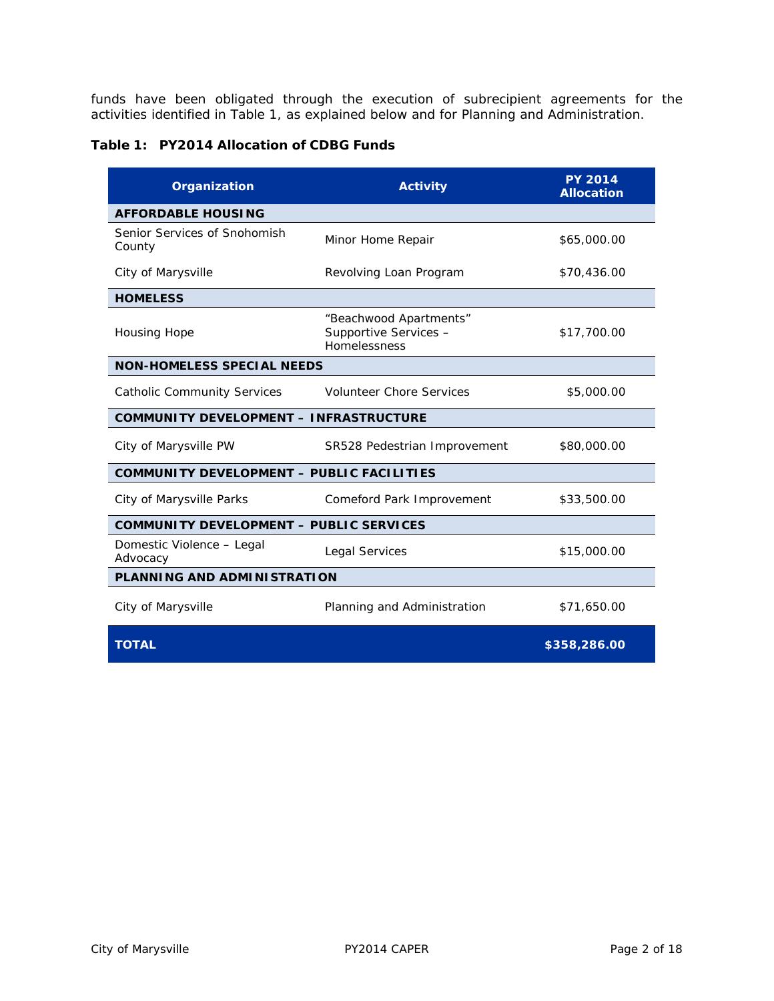funds have been obligated through the execution of subrecipient agreements for the activities identified in Table 1, as explained below and for Planning and Administration.

**Table 1: PY2014 Allocation of CDBG Funds** 

| Organization                                     | <b>Activity</b>                                                 | <b>PY 2014</b><br><b>Allocation</b> |  |  |  |  |
|--------------------------------------------------|-----------------------------------------------------------------|-------------------------------------|--|--|--|--|
| <b>AFFORDABLE HOUSING</b>                        |                                                                 |                                     |  |  |  |  |
| Senior Services of Snohomish<br>County           | Minor Home Repair                                               | \$65,000.00                         |  |  |  |  |
| City of Marysville                               | Revolving Loan Program                                          | \$70,436.00                         |  |  |  |  |
| <b>HOMELESS</b>                                  |                                                                 |                                     |  |  |  |  |
| Housing Hope                                     | "Beachwood Apartments"<br>Supportive Services -<br>Homelessness | \$17,700.00                         |  |  |  |  |
| <b>NON-HOMELESS SPECIAL NEEDS</b>                |                                                                 |                                     |  |  |  |  |
| Catholic Community Services                      | <b>Volunteer Chore Services</b>                                 | \$5,000.00                          |  |  |  |  |
| <b>COMMUNITY DEVELOPMENT - INFRASTRUCTURE</b>    |                                                                 |                                     |  |  |  |  |
| City of Marysville PW                            | SR528 Pedestrian Improvement                                    | \$80,000.00                         |  |  |  |  |
| <b>COMMUNITY DEVELOPMENT - PUBLIC FACILITIES</b> |                                                                 |                                     |  |  |  |  |
| City of Marysville Parks                         | Comeford Park Improvement                                       | \$33,500.00                         |  |  |  |  |
| <b>COMMUNITY DEVELOPMENT - PUBLIC SERVICES</b>   |                                                                 |                                     |  |  |  |  |
| Domestic Violence - Legal<br>Advocacy            | <b>Legal Services</b>                                           | \$15,000.00                         |  |  |  |  |
| PLANNING AND ADMINISTRATION                      |                                                                 |                                     |  |  |  |  |
| City of Marysville                               | Planning and Administration                                     | \$71,650.00                         |  |  |  |  |
| <b>TOTAL</b>                                     |                                                                 | \$358,286.00                        |  |  |  |  |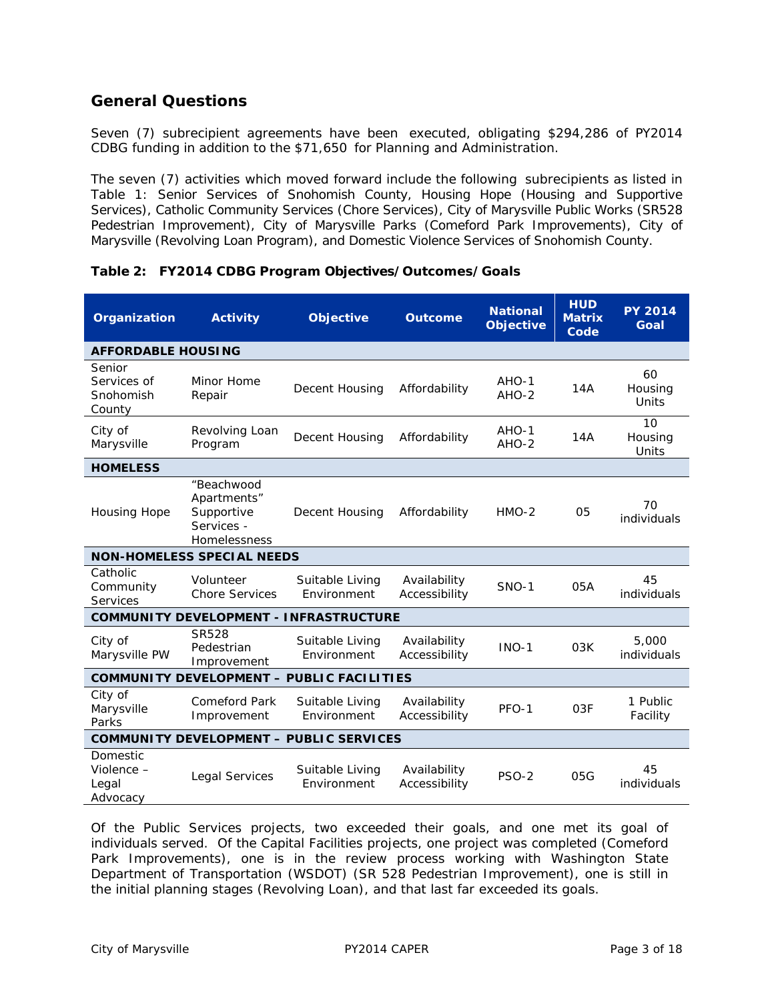# **General Questions**

Seven (7) subrecipient agreements have been executed, obligating \$294,286 of PY2014 CDBG funding in addition to the \$71,650 for Planning and Administration.

The seven (7) activities which moved forward include the following subrecipients as listed in Table 1: Senior Services of Snohomish County, Housing Hope (Housing and Supportive Services), Catholic Community Services (Chore Services), City of Marysville Public Works (SR528 Pedestrian Improvement), City of Marysville Parks (Comeford Park Improvements), City of Marysville (Revolving Loan Program), and Domestic Violence Services of Snohomish County.

| Organization                                     | <b>Activity</b>                                                       | <b>Objective</b>               | <b>Outcome</b>                | <b>National</b><br><b>Objective</b> | <b>HUD</b><br><b>Matrix</b><br>Code | <b>PY 2014</b><br>Goal |  |  |
|--------------------------------------------------|-----------------------------------------------------------------------|--------------------------------|-------------------------------|-------------------------------------|-------------------------------------|------------------------|--|--|
|                                                  | <b>AFFORDABLE HOUSING</b>                                             |                                |                               |                                     |                                     |                        |  |  |
| Senior<br>Services of<br>Snohomish<br>County     | Minor Home<br>Repair                                                  | Decent Housing                 | Affordability                 | $AHO-1$<br>$AHO-2$                  | 14A                                 | 60<br>Housing<br>Units |  |  |
| City of<br>Marysville                            | Revolving Loan<br>Program                                             | Decent Housing                 | Affordability                 | AHO-1<br>$AHO-2$                    | 14A                                 | 10<br>Housing<br>Units |  |  |
| <b>HOMELESS</b>                                  |                                                                       |                                |                               |                                     |                                     |                        |  |  |
| <b>Housing Hope</b>                              | "Beachwood<br>Apartments"<br>Supportive<br>Services -<br>Homelessness | Decent Housing                 | Affordability                 | $HMO-2$                             | 05                                  | 70<br>individuals      |  |  |
|                                                  | <b>NON-HOMELESS SPECIAL NEEDS</b>                                     |                                |                               |                                     |                                     |                        |  |  |
| Catholic<br>Community<br>Services                | Volunteer<br><b>Chore Services</b>                                    | Suitable Living<br>Environment | Availability<br>Accessibility | <b>SNO-1</b>                        | 05A                                 | 45<br>individuals      |  |  |
| <b>COMMUNITY DEVELOPMENT - INFRASTRUCTURE</b>    |                                                                       |                                |                               |                                     |                                     |                        |  |  |
| City of<br>Marysville PW                         | <b>SR528</b><br>Pedestrian<br>Improvement                             | Suitable Living<br>Environment | Availability<br>Accessibility | $INO-1$                             | 03K                                 | 5,000<br>individuals   |  |  |
| <b>COMMUNITY DEVELOPMENT - PUBLIC FACILITIES</b> |                                                                       |                                |                               |                                     |                                     |                        |  |  |
| City of<br>Marysville<br>Parks                   | <b>Comeford Park</b><br>Improvement                                   | Suitable Living<br>Environment | Availability<br>Accessibility | PFO-1                               | 03F                                 | 1 Public<br>Facility   |  |  |
| <b>COMMUNITY DEVELOPMENT - PUBLIC SERVICES</b>   |                                                                       |                                |                               |                                     |                                     |                        |  |  |
| Domestic<br>Violence -<br>Legal<br>Advocacy      | Legal Services                                                        | Suitable Living<br>Environment | Availability<br>Accessibility | <b>PSO-2</b>                        | 05G                                 | 45<br>individuals      |  |  |

## **Table 2: FY2014 CDBG Program Objectives/Outcomes/Goals**

Of the Public Services projects, two exceeded their goals, and one met its goal of individuals served. Of the Capital Facilities projects, one project was completed (Comeford Park Improvements), one is in the review process working with Washington State Department of Transportation (WSDOT) (SR 528 Pedestrian Improvement), one is still in the initial planning stages (Revolving Loan), and that last far exceeded its goals.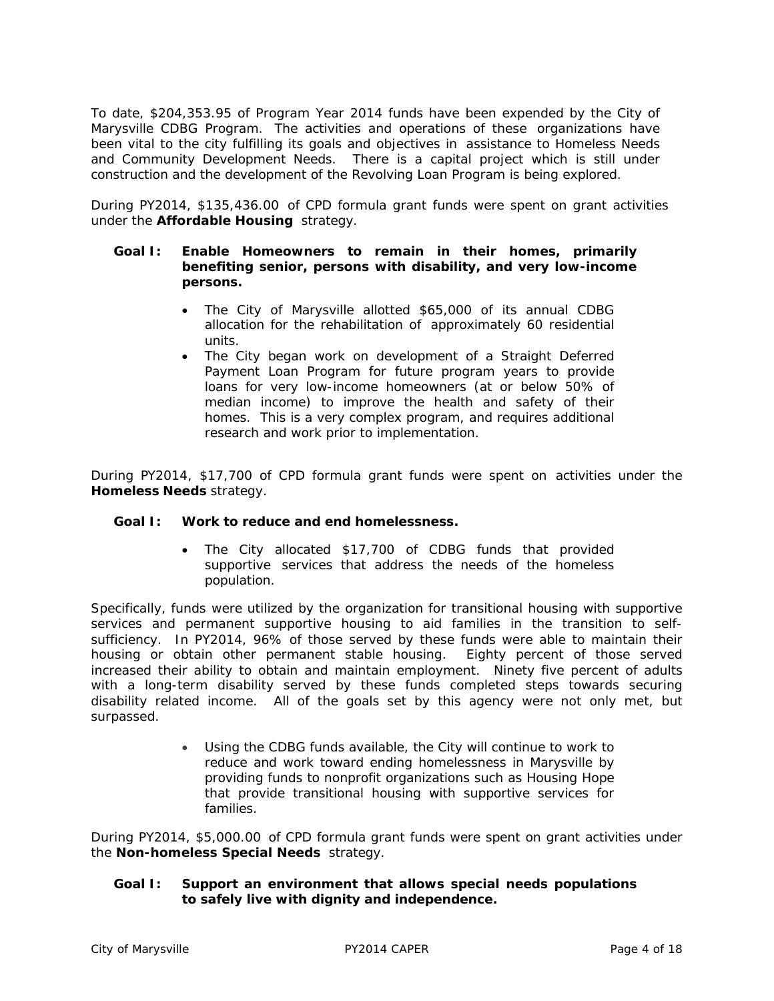To date, \$204,353.95 of Program Year 2014 funds have been expended by the City of Marysville CDBG Program. The activities and operations of these organizations have been vital to the city fulfilling its goals and objectives in assistance to Homeless Needs and Community Development Needs. There is a capital project which is still under construction and the development of the Revolving Loan Program is being explored.

During PY2014, \$135,436.00 of CPD formula grant funds were spent on grant activities under the *Affordable Housing* strategy.

#### **Goal I: Enable Homeowners to remain in their homes, primarily benefiting senior, persons with disability, and very low-income persons.**

- The City of Marysville allotted \$65,000 of its annual CDBG allocation for the rehabilitation of approximately 60 residential units.
- The City began work on development of a Straight Deferred Payment Loan Program for future program years to provide loans for very low-income homeowners (at or below 50% of median income) to improve the health and safety of their homes. This is a very complex program, and requires additional research and work prior to implementation.

During PY2014, \$17,700 of CPD formula grant funds were spent on activities under the *Homeless Needs* strategy.

#### **Goal I: Work to reduce and end homelessness.**

 The City allocated \$17,700 of CDBG funds that provided supportive services that address the needs of the homeless population.

Specifically, funds were utilized by the organization for transitional housing with supportive services and permanent supportive housing to aid families in the transition to selfsufficiency. In PY2014, 96% of those served by these funds were able to maintain their housing or obtain other permanent stable housing. Eighty percent of those served increased their ability to obtain and maintain employment. Ninety five percent of adults with a long-term disability served by these funds completed steps towards securing disability related income. All of the goals set by this agency were not only met, but surpassed.

> Using the CDBG funds available, the City will continue to work to reduce and work toward ending homelessness in Marysville by providing funds to nonprofit organizations such as Housing Hope that provide transitional housing with supportive services for families.

During PY2014, \$5,000.00 of CPD formula grant funds were spent on grant activities under the *Non-homeless Special Needs* strategy.

#### **Goal I: Support an environment that allows special needs populations to safely live with dignity and independence.**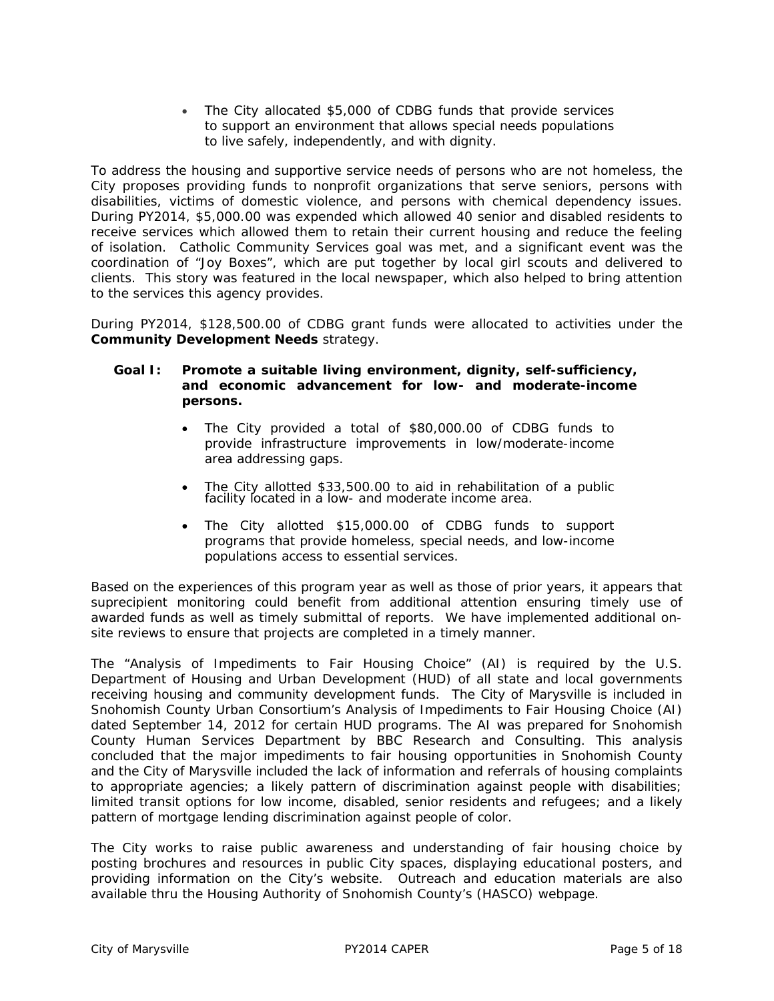The City allocated \$5,000 of CDBG funds that provide services to support an environment that allows special needs populations to live safely, independently, and with dignity.

To address the housing and supportive service needs of persons who are not homeless, the City proposes providing funds to nonprofit organizations that serve seniors, persons with disabilities, victims of domestic violence, and persons with chemical dependency issues. During PY2014, \$5,000.00 was expended which allowed 40 senior and disabled residents to receive services which allowed them to retain their current housing and reduce the feeling of isolation. Catholic Community Services goal was met, and a significant event was the coordination of "Joy Boxes", which are put together by local girl scouts and delivered to clients. This story was featured in the local newspaper, which also helped to bring attention to the services this agency provides.

During PY2014, \$128,500.00 of CDBG grant funds were allocated to activities under the *Community Development Needs* strategy.

### **Goal I: Promote a suitable living environment, dignity, self-sufficiency, and economic advancement for low- and moderate-income persons.**

- The City provided a total of \$80,000.00 of CDBG funds to provide infrastructure improvements in low/moderate-income area addressing gaps.
- The City allotted \$33,500.00 to aid in rehabilitation of a public facility located in a low- and moderate income area.
- The City allotted \$15,000.00 of CDBG funds to support programs that provide homeless, special needs, and low-income populations access to essential services.

Based on the experiences of this program year as well as those of prior years, it appears that suprecipient monitoring could benefit from additional attention ensuring timely use of awarded funds as well as timely submittal of reports. We have implemented additional onsite reviews to ensure that projects are completed in a timely manner.

The "Analysis of Impediments to Fair Housing Choice" (AI) is required by the U.S. Department of Housing and Urban Development (HUD) of all state and local governments receiving housing and community development funds. The City of Marysville is included in Snohomish County Urban Consortium's Analysis of Impediments to Fair Housing Choice (AI) dated September 14, 2012 for certain HUD programs. The AI was prepared for Snohomish County Human Services Department by BBC Research and Consulting. This analysis concluded that the major impediments to fair housing opportunities in Snohomish County and the City of Marysville included the lack of information and referrals of housing complaints to appropriate agencies; a likely pattern of discrimination against people with disabilities; limited transit options for low income, disabled, senior residents and refugees; and a likely pattern of mortgage lending discrimination against people of color.

The City works to raise public awareness and understanding of fair housing choice by posting brochures and resources in public City spaces, displaying educational posters, and providing information on the City's website. Outreach and education materials are also available thru the Housing Authority of Snohomish County's (HASCO) webpage.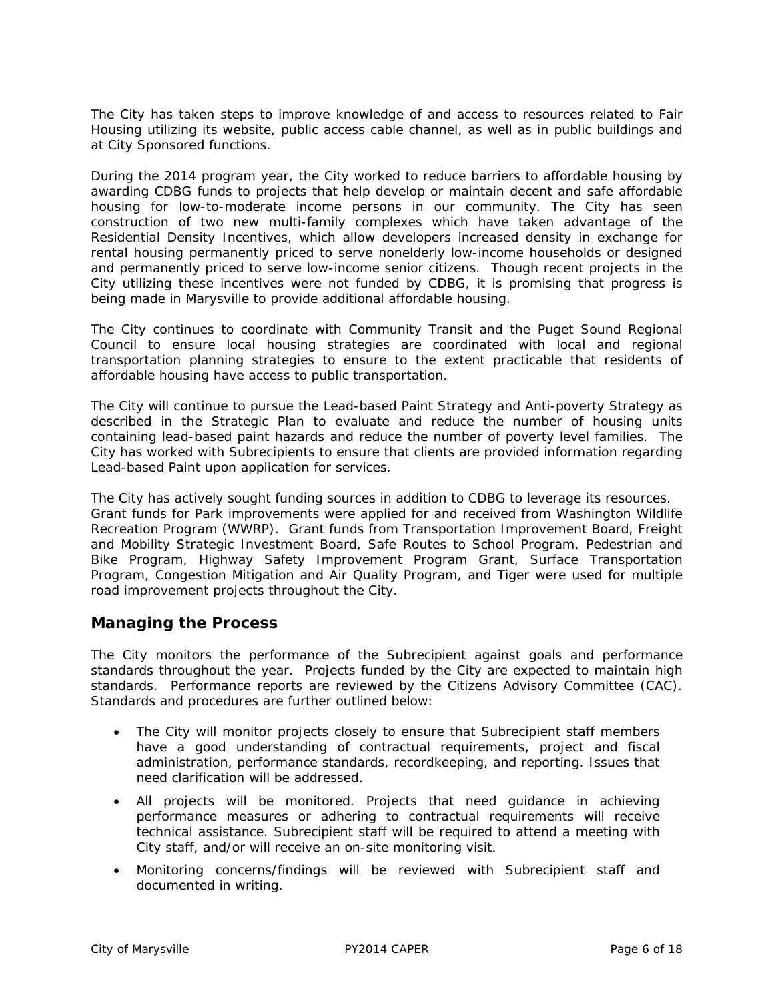The City has taken steps to improve knowledge of and access to resources related to Fair Housing utilizing its website, public access cable channel, as well as in public buildings and at City Sponsored functions.

During the 2014 program year, the City worked to reduce barriers to affordable housing by awarding CDBG funds to projects that help develop or maintain decent and safe affordable housing for low-to-moderate income persons in our community. The City has seen construction of two new multi-family complexes which have taken advantage of the Residential Density Incentives, which allow developers increased density in exchange for rental housing permanently priced to serve nonelderly low-income households or designed and permanently priced to serve low-income senior citizens. Though recent projects in the City utilizing these incentives were not funded by CDBG, it is promising that progress is being made in Marysville to provide additional affordable housing.

The City continues to coordinate with Community Transit and the Puget Sound Regional Council to ensure local housing strategies are coordinated with local and regional transportation planning strategies to ensure to the extent practicable that residents of affordable housing have access to public transportation.

The City will continue to pursue the Lead-based Paint Strategy and Anti-poverty Strategy as described in the Strategic Plan to evaluate and reduce the number of housing units containing lead-based paint hazards and reduce the number of poverty level families. The City has worked with Subrecipients to ensure that clients are provided information regarding Lead-based Paint upon application for services.

The City has actively sought funding sources in addition to CDBG to leverage its resources. Grant funds for Park improvements were applied for and received from Washington Wildlife Recreation Program (WWRP). Grant funds from Transportation Improvement Board, Freight and Mobility Strategic Investment Board, Safe Routes to School Program, Pedestrian and Bike Program, Highway Safety Improvement Program Grant, Surface Transportation Program, Congestion Mitigation and Air Quality Program, and Tiger were used for multiple road improvement projects throughout the City.

## **Managing the Process**

The City monitors the performance of the Subrecipient against goals and performance standards throughout the year. Projects funded by the City are expected to maintain high standards. Performance reports are reviewed by the Citizens Advisory Committee (CAC). Standards and procedures are further outlined below:

- The City will monitor projects closely to ensure that Subrecipient staff members have a good understanding of contractual requirements, project and fiscal administration, performance standards, recordkeeping, and reporting. Issues that need clarification will be addressed.
- All projects will be monitored. Projects that need guidance in achieving performance measures or adhering to contractual requirements will receive technical assistance. Subrecipient staff will be required to attend a meeting with City staff, and/or will receive an on-site monitoring visit.
- Monitoring concerns/findings will be reviewed with Subrecipient staff and documented in writing.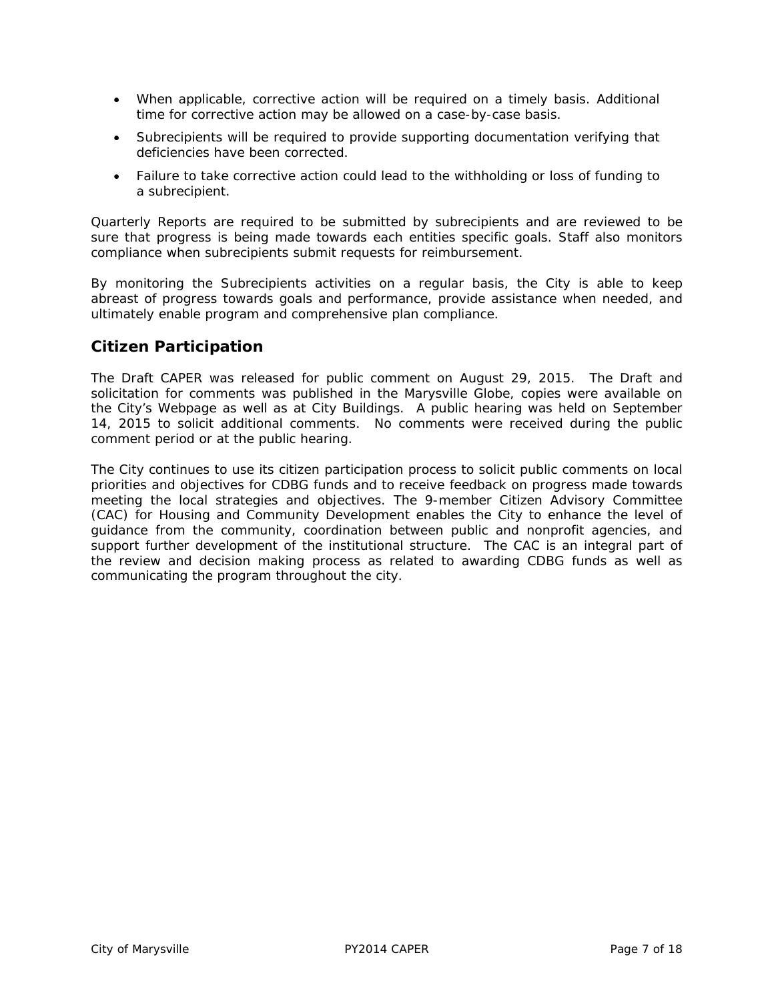- When applicable, corrective action will be required on a timely basis. Additional time for corrective action may be allowed on a case-by-case basis.
- Subrecipients will be required to provide supporting documentation verifying that deficiencies have been corrected.
- Failure to take corrective action could lead to the withholding or loss of funding to a subrecipient.

Quarterly Reports are required to be submitted by subrecipients and are reviewed to be sure that progress is being made towards each entities specific goals. Staff also monitors compliance when subrecipients submit requests for reimbursement.

By monitoring the Subrecipients activities on a regular basis, the City is able to keep abreast of progress towards goals and performance, provide assistance when needed, and ultimately enable program and comprehensive plan compliance.

# **Citizen Participation**

The Draft CAPER was released for public comment on August 29, 2015. The Draft and solicitation for comments was published in the Marysville Globe, copies were available on the City's Webpage as well as at City Buildings. A public hearing was held on September 14, 2015 to solicit additional comments. No comments were received during the public comment period or at the public hearing.

The City continues to use its citizen participation process to solicit public comments on local priorities and objectives for CDBG funds and to receive feedback on progress made towards meeting the local strategies and objectives. The 9-member Citizen Advisory Committee (CAC) for Housing and Community Development enables the City to enhance the level of guidance from the community, coordination between public and nonprofit agencies, and support further development of the institutional structure. The CAC is an integral part of the review and decision making process as related to awarding CDBG funds as well as communicating the program throughout the city.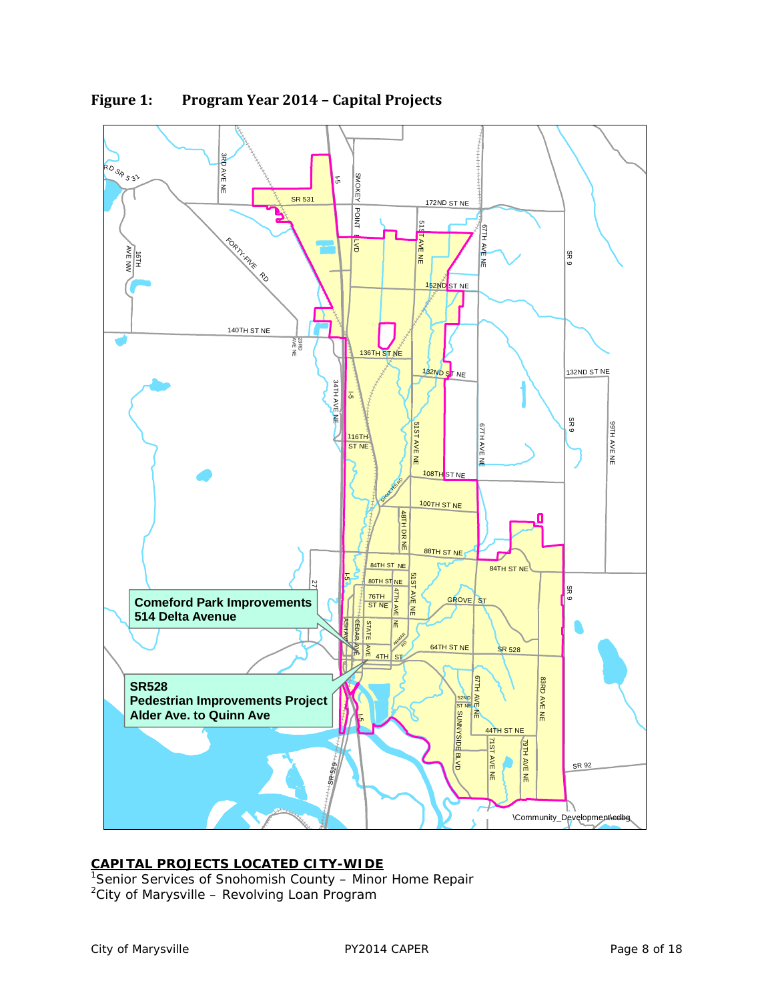

**Figure 1: Program Year 2014 – Capital Projects**

**CAPITAL PROJECTS LOCATED CITY-WIDE** 1 Senior Services of Snohomish County – Minor Home Repair <sup>2</sup>City of Marysville – Revolving Loan Program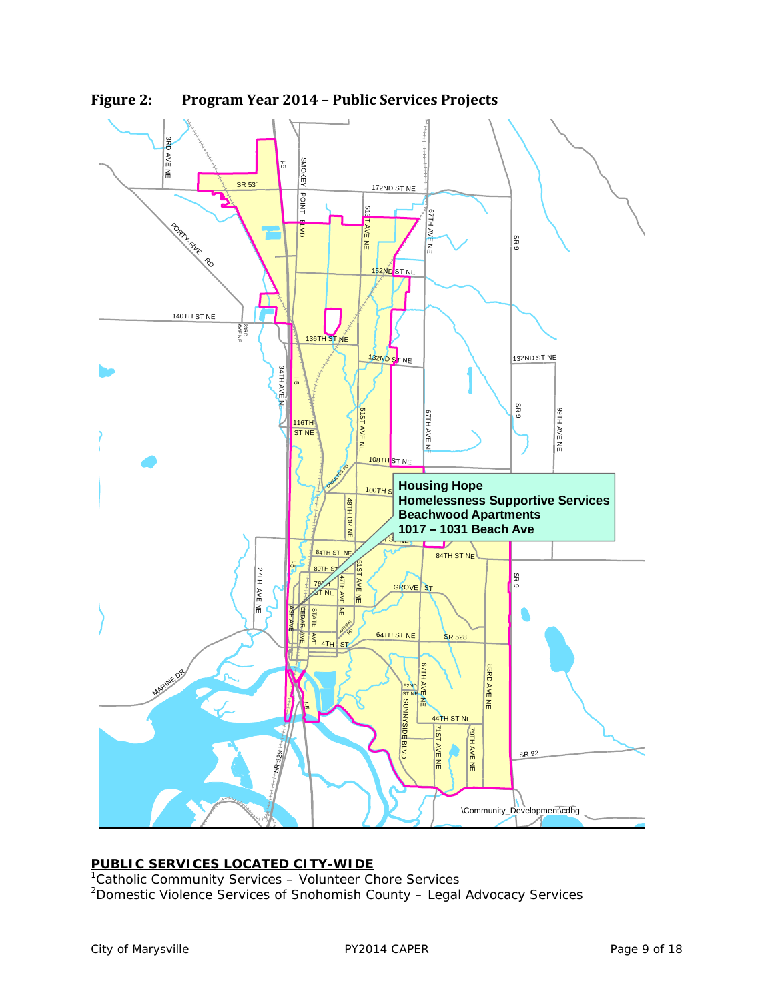

**Figure 2: Program Year 2014 – Public Services Projects**

**PUBLIC SERVICES LOCATED CITY-WIDE** 1 Catholic Community Services – Volunteer Chore Services <sup>2</sup> Domestic Violence Services of Snohomish County - Legal Advocacy Services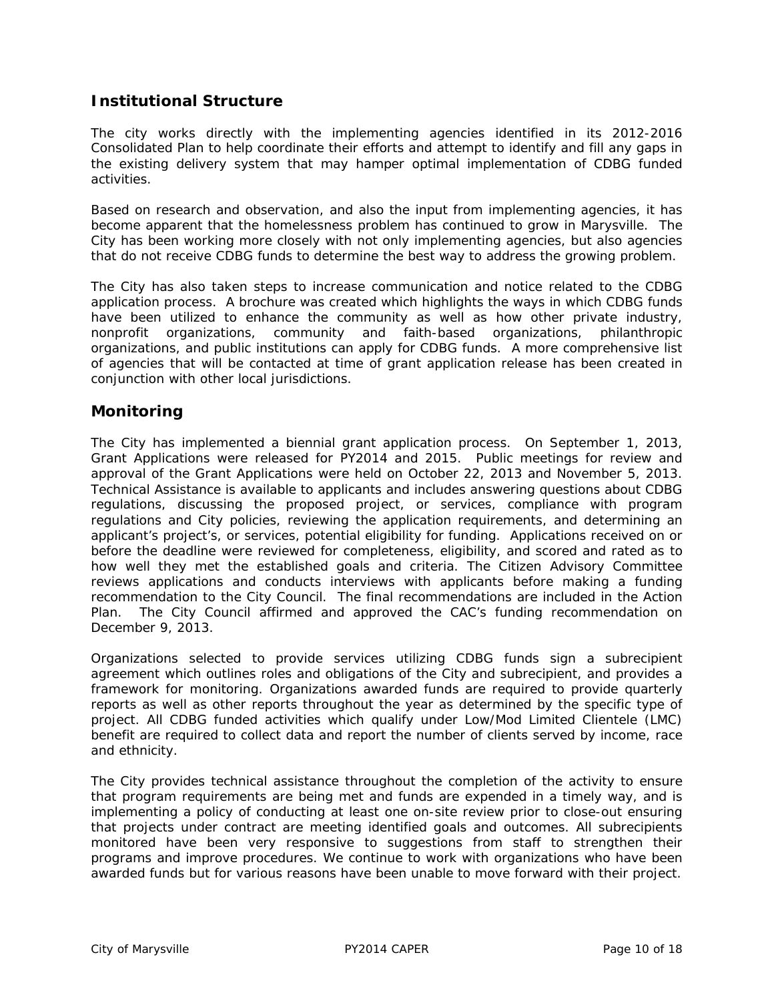# **Institutional Structure**

The city works directly with the implementing agencies identified in its 2012-2016 Consolidated Plan to help coordinate their efforts and attempt to identify and fill any gaps in the existing delivery system that may hamper optimal implementation of CDBG funded activities.

Based on research and observation, and also the input from implementing agencies, it has become apparent that the homelessness problem has continued to grow in Marysville. The City has been working more closely with not only implementing agencies, but also agencies that do not receive CDBG funds to determine the best way to address the growing problem.

The City has also taken steps to increase communication and notice related to the CDBG application process. A brochure was created which highlights the ways in which CDBG funds have been utilized to enhance the community as well as how other private industry, nonprofit organizations, community and faith-based organizations, philanthropic organizations, and public institutions can apply for CDBG funds. A more comprehensive list of agencies that will be contacted at time of grant application release has been created in conjunction with other local jurisdictions.

## **Monitoring**

The City has implemented a biennial grant application process. On September 1, 2013, Grant Applications were released for PY2014 and 2015. Public meetings for review and approval of the Grant Applications were held on October 22, 2013 and November 5, 2013. Technical Assistance is available to applicants and includes answering questions about CDBG regulations, discussing the proposed project, or services, compliance with program regulations and City policies, reviewing the application requirements, and determining an applicant's project's, or services, potential eligibility for funding. Applications received on or before the deadline were reviewed for completeness, eligibility, and scored and rated as to how well they met the established goals and criteria. The Citizen Advisory Committee reviews applications and conducts interviews with applicants before making a funding recommendation to the City Council. The final recommendations are included in the Action Plan. The City Council affirmed and approved the CAC's funding recommendation on December 9, 2013.

Organizations selected to provide services utilizing CDBG funds sign a subrecipient agreement which outlines roles and obligations of the City and subrecipient, and provides a framework for monitoring. Organizations awarded funds are required to provide quarterly reports as well as other reports throughout the year as determined by the specific type of project. All CDBG funded activities which qualify under Low/Mod Limited Clientele (LMC) benefit are required to collect data and report the number of clients served by income, race and ethnicity.

The City provides technical assistance throughout the completion of the activity to ensure that program requirements are being met and funds are expended in a timely way, and is implementing a policy of conducting at least one on-site review prior to close-out ensuring that projects under contract are meeting identified goals and outcomes. All subrecipients monitored have been very responsive to suggestions from staff to strengthen their programs and improve procedures. We continue to work with organizations who have been awarded funds but for various reasons have been unable to move forward with their project.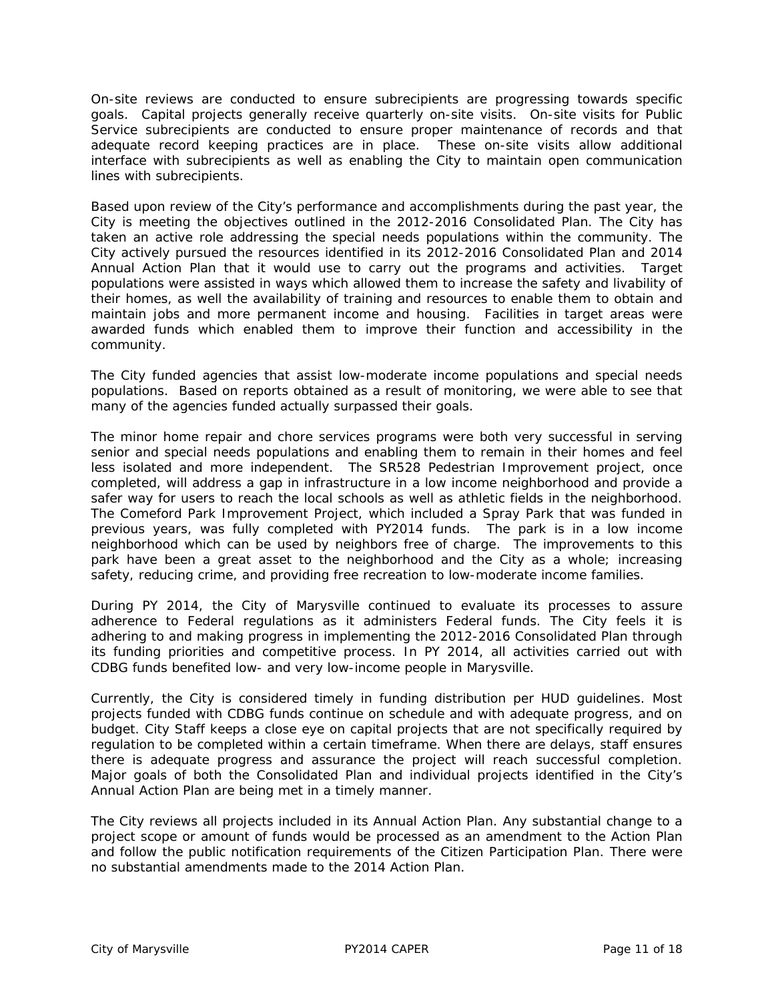On-site reviews are conducted to ensure subrecipients are progressing towards specific goals. Capital projects generally receive quarterly on-site visits. On-site visits for Public Service subrecipients are conducted to ensure proper maintenance of records and that adequate record keeping practices are in place. These on-site visits allow additional interface with subrecipients as well as enabling the City to maintain open communication lines with subrecipients.

Based upon review of the City's performance and accomplishments during the past year, the City is meeting the objectives outlined in the 2012-2016 Consolidated Plan. The City has taken an active role addressing the special needs populations within the community. The City actively pursued the resources identified in its 2012-2016 Consolidated Plan and 2014 Annual Action Plan that it would use to carry out the programs and activities. Target populations were assisted in ways which allowed them to increase the safety and livability of their homes, as well the availability of training and resources to enable them to obtain and maintain jobs and more permanent income and housing. Facilities in target areas were awarded funds which enabled them to improve their function and accessibility in the community.

The City funded agencies that assist low-moderate income populations and special needs populations. Based on reports obtained as a result of monitoring, we were able to see that many of the agencies funded actually surpassed their goals.

The minor home repair and chore services programs were both very successful in serving senior and special needs populations and enabling them to remain in their homes and feel less isolated and more independent. The SR528 Pedestrian Improvement project, once completed, will address a gap in infrastructure in a low income neighborhood and provide a safer way for users to reach the local schools as well as athletic fields in the neighborhood. The Comeford Park Improvement Project, which included a Spray Park that was funded in previous years, was fully completed with PY2014 funds. The park is in a low income neighborhood which can be used by neighbors free of charge. The improvements to this park have been a great asset to the neighborhood and the City as a whole; increasing safety, reducing crime, and providing free recreation to low-moderate income families.

During PY 2014, the City of Marysville continued to evaluate its processes to assure adherence to Federal regulations as it administers Federal funds. The City feels it is adhering to and making progress in implementing the 2012-2016 Consolidated Plan through its funding priorities and competitive process. In PY 2014, all activities carried out with CDBG funds benefited low- and very low-income people in Marysville.

Currently, the City is considered timely in funding distribution per HUD guidelines. Most projects funded with CDBG funds continue on schedule and with adequate progress, and on budget. City Staff keeps a close eye on capital projects that are not specifically required by regulation to be completed within a certain timeframe. When there are delays, staff ensures there is adequate progress and assurance the project will reach successful completion. Major goals of both the Consolidated Plan and individual projects identified in the City's Annual Action Plan are being met in a timely manner.

The City reviews all projects included in its Annual Action Plan. Any substantial change to a project scope or amount of funds would be processed as an amendment to the Action Plan and follow the public notification requirements of the Citizen Participation Plan. There were no substantial amendments made to the 2014 Action Plan.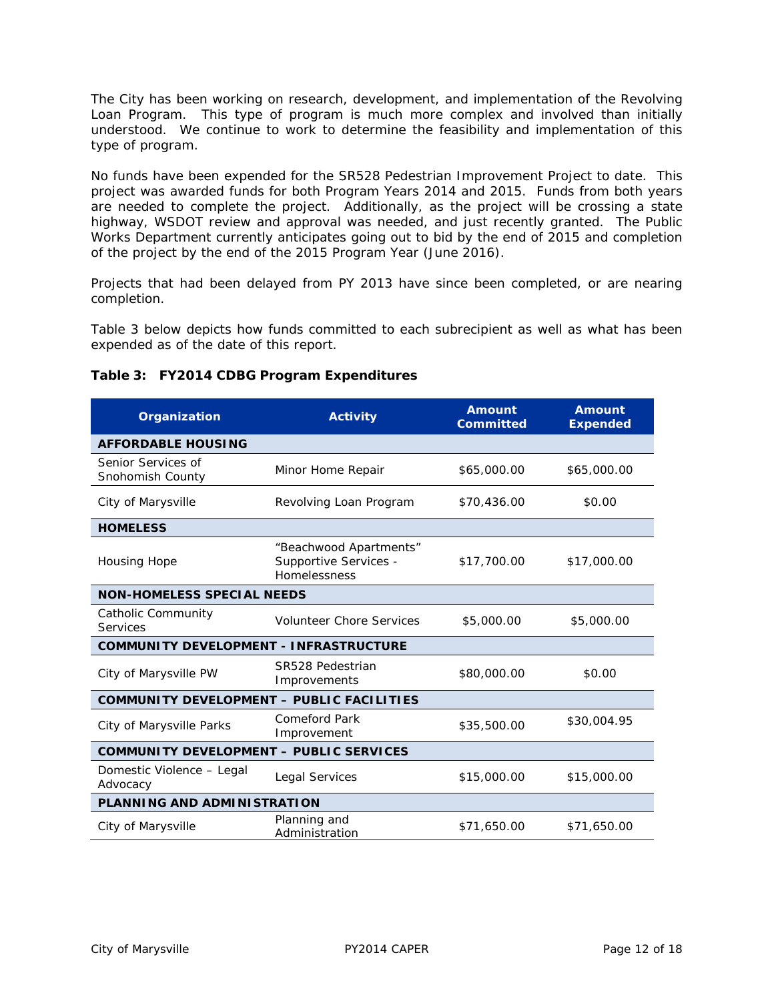The City has been working on research, development, and implementation of the Revolving Loan Program. This type of program is much more complex and involved than initially understood. We continue to work to determine the feasibility and implementation of this type of program.

No funds have been expended for the SR528 Pedestrian Improvement Project to date. This project was awarded funds for both Program Years 2014 and 2015. Funds from both years are needed to complete the project. Additionally, as the project will be crossing a state highway, WSDOT review and approval was needed, and just recently granted. The Public Works Department currently anticipates going out to bid by the end of 2015 and completion of the project by the end of the 2015 Program Year (June 2016).

Projects that had been delayed from PY 2013 have since been completed, or are nearing completion.

Table 3 below depicts how funds committed to each subrecipient as well as what has been expended as of the date of this report.

| Organization                                   | <b>Activity</b>                                                 | <b>Amount</b><br><b>Committed</b> | <b>Amount</b><br><b>Expended</b> |  |  |  |  |
|------------------------------------------------|-----------------------------------------------------------------|-----------------------------------|----------------------------------|--|--|--|--|
| <b>AFFORDABLE HOUSING</b>                      |                                                                 |                                   |                                  |  |  |  |  |
| Senior Services of<br>Snohomish County         | Minor Home Repair                                               | \$65,000.00                       | \$65,000.00                      |  |  |  |  |
| City of Marysville                             | Revolving Loan Program                                          | \$70,436.00                       | \$0.00                           |  |  |  |  |
| <b>HOMELESS</b>                                |                                                                 |                                   |                                  |  |  |  |  |
| <b>Housing Hope</b>                            | "Beachwood Apartments"<br>Supportive Services -<br>Homelessness | \$17,700.00                       | \$17,000.00                      |  |  |  |  |
| <b>NON-HOMELESS SPECIAL NEEDS</b>              |                                                                 |                                   |                                  |  |  |  |  |
| Catholic Community<br><b>Services</b>          | <b>Volunteer Chore Services</b>                                 | \$5,000.00                        | \$5,000.00                       |  |  |  |  |
| <b>COMMUNITY DEVELOPMENT - INFRASTRUCTURE</b>  |                                                                 |                                   |                                  |  |  |  |  |
| City of Marysville PW                          | SR528 Pedestrian<br>Improvements                                | \$80,000.00                       | \$0.00                           |  |  |  |  |
| COMMUNITY DEVELOPMENT - PUBLIC FACILITIES      |                                                                 |                                   |                                  |  |  |  |  |
| City of Marysville Parks                       | Comeford Park<br>Improvement                                    | \$35,500.00                       | \$30,004.95                      |  |  |  |  |
| <b>COMMUNITY DEVELOPMENT - PUBLIC SERVICES</b> |                                                                 |                                   |                                  |  |  |  |  |
| Domestic Violence - Legal<br>Advocacy          | <b>Legal Services</b>                                           | \$15,000.00                       | \$15,000.00                      |  |  |  |  |
| PLANNING AND ADMINISTRATION                    |                                                                 |                                   |                                  |  |  |  |  |
| City of Marysville                             | Planning and<br>Administration                                  | \$71,650.00                       | \$71,650.00                      |  |  |  |  |

## **Table 3: FY2014 CDBG Program Expenditures**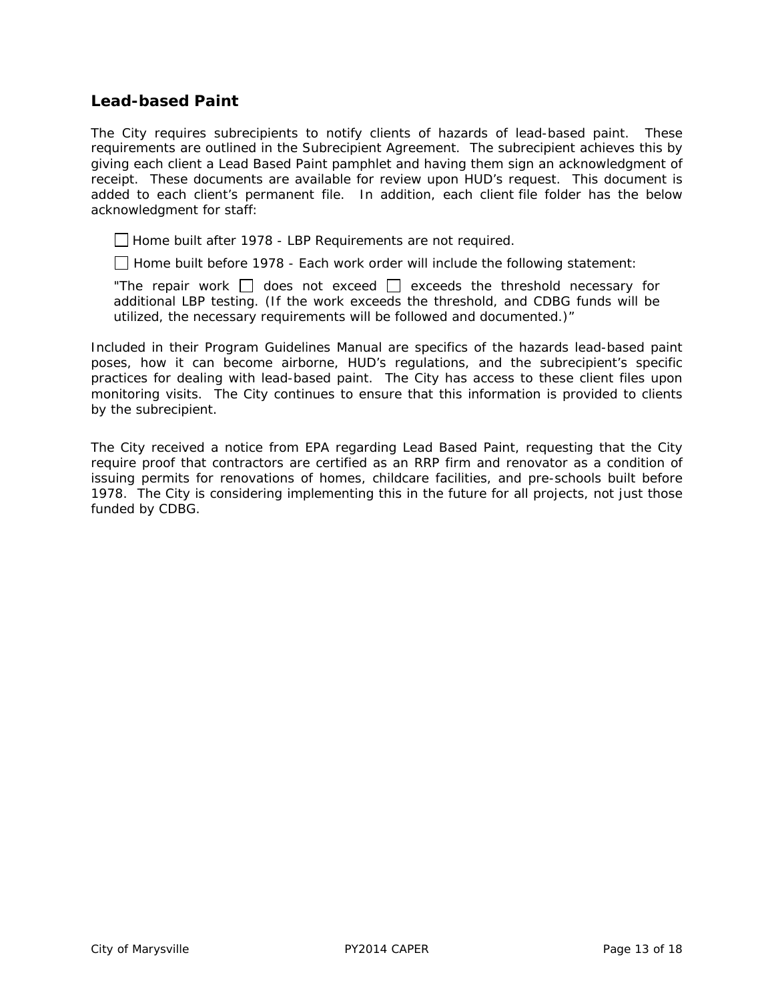## **Lead-based Paint**

The City requires subrecipients to notify clients of hazards of lead-based paint. These requirements are outlined in the Subrecipient Agreement. The subrecipient achieves this by giving each client a Lead Based Paint pamphlet and having them sign an acknowledgment of receipt. These documents are available for review upon HUD's request. This document is added to each client's permanent file. In addition, each client file folder has the below acknowledgment for staff:

*Home built after 1978 - LBP Requirements are not required.* 

 *Home built* before *1978 - Each work order will include the following statement:* 

"The repair work  $\Box$  does not exceed  $\Box$  exceeds the threshold necessary for *additional LBP testing. (If the work exceeds the threshold, and CDBG funds will be utilized, the necessary requirements will be followed and documented.)"* 

Included in their Program Guidelines Manual are specifics of the hazards lead-based paint poses, how it can become airborne, HUD's regulations, and the subrecipient's specific practices for dealing with lead-based paint. The City has access to these client files upon monitoring visits. The City continues to ensure that this information is provided to clients by the subrecipient.

The City received a notice from EPA regarding Lead Based Paint, requesting that the City require proof that contractors are certified as an RRP firm and renovator as a condition of issuing permits for renovations of homes, childcare facilities, and pre-schools built before 1978. The City is considering implementing this in the future for all projects, not just those funded by CDBG.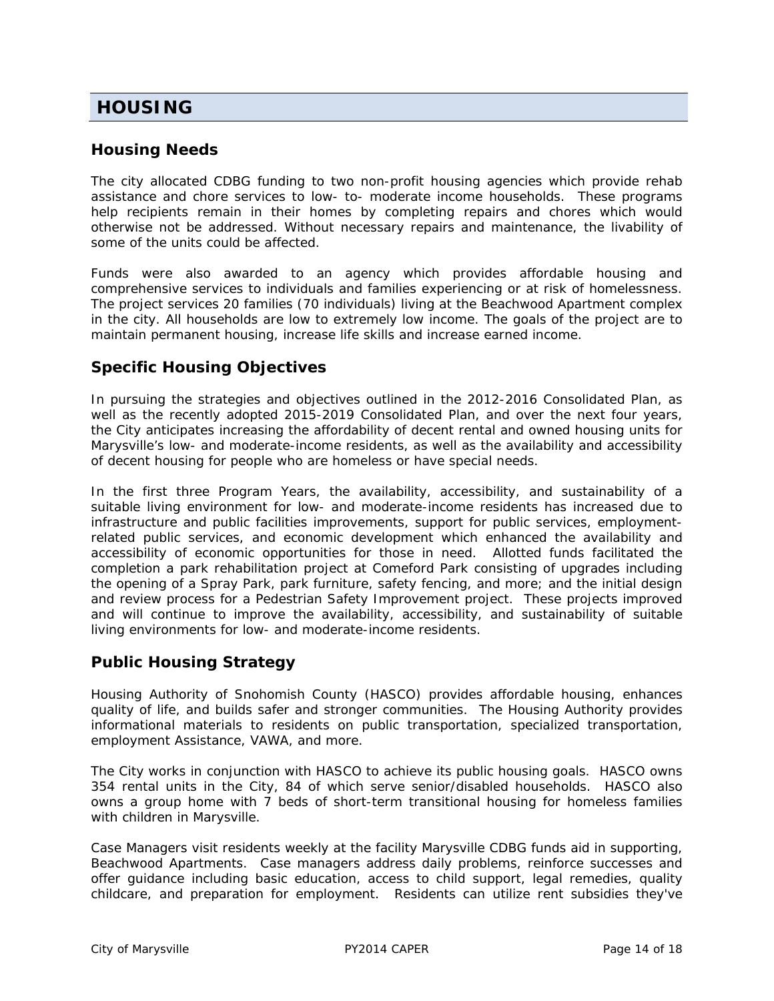# **HOUSING**

## **Housing Needs**

The city allocated CDBG funding to two non-profit housing agencies which provide rehab assistance and chore services to low- to- moderate income households. These programs help recipients remain in their homes by completing repairs and chores which would otherwise not be addressed. Without necessary repairs and maintenance, the livability of some of the units could be affected.

Funds were also awarded to an agency which provides affordable housing and comprehensive services to individuals and families experiencing or at risk of homelessness. The project services 20 families (70 individuals) living at the Beachwood Apartment complex in the city. All households are low to extremely low income. The goals of the project are to maintain permanent housing, increase life skills and increase earned income.

# **Specific Housing Objectives**

In pursuing the strategies and objectives outlined in the 2012-2016 Consolidated Plan, as well as the recently adopted 2015-2019 Consolidated Plan, and over the next four years, the City anticipates increasing the affordability of decent rental and owned housing units for Marysville's low- and moderate-income residents, as well as the availability and accessibility of decent housing for people who are homeless or have special needs.

In the first three Program Years, the availability, accessibility, and sustainability of a suitable living environment for low- and moderate-income residents has increased due to infrastructure and public facilities improvements, support for public services, employmentrelated public services, and economic development which enhanced the availability and accessibility of economic opportunities for those in need. Allotted funds facilitated the completion a park rehabilitation project at Comeford Park consisting of upgrades including the opening of a Spray Park, park furniture, safety fencing, and more; and the initial design and review process for a Pedestrian Safety Improvement project. These projects improved and will continue to improve the availability, accessibility, and sustainability of suitable living environments for low- and moderate-income residents.

## **Public Housing Strategy**

Housing Authority of Snohomish County (HASCO) provides affordable housing, enhances quality of life, and builds safer and stronger communities. The Housing Authority provides informational materials to residents on public transportation, specialized transportation, employment Assistance, VAWA, and more.

The City works in conjunction with HASCO to achieve its public housing goals. HASCO owns 354 rental units in the City, 84 of which serve senior/disabled households. HASCO also owns a group home with 7 beds of short-term transitional housing for homeless families with children in Marysville.

Case Managers visit residents weekly at the facility Marysville CDBG funds aid in supporting, Beachwood Apartments. Case managers address daily problems, reinforce successes and offer guidance including basic education, access to child support, legal remedies, quality childcare, and preparation for employment. Residents can utilize rent subsidies they've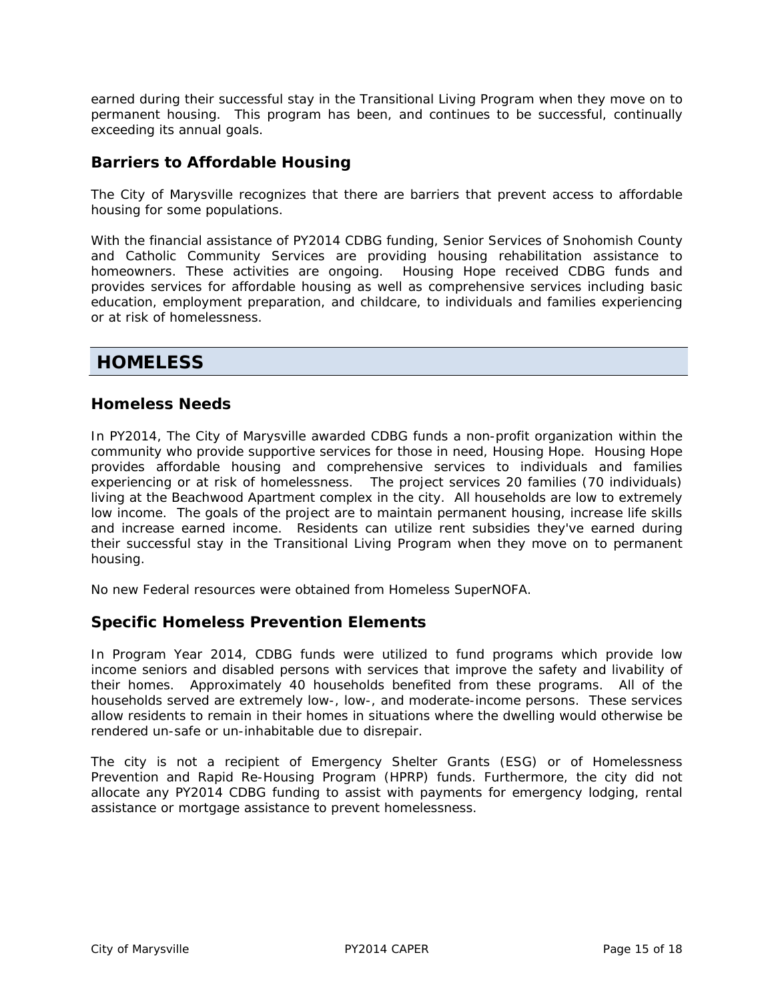earned during their successful stay in the Transitional Living Program when they move on to permanent housing. This program has been, and continues to be successful, continually exceeding its annual goals.

## **Barriers to Affordable Housing**

The City of Marysville recognizes that there are barriers that prevent access to affordable housing for some populations.

With the financial assistance of PY2014 CDBG funding, Senior Services of Snohomish County and Catholic Community Services are providing housing rehabilitation assistance to homeowners. These activities are ongoing. Housing Hope received CDBG funds and provides services for affordable housing as well as comprehensive services including basic education, employment preparation, and childcare, to individuals and families experiencing or at risk of homelessness.

# **HOMELESS**

## **Homeless Needs**

In PY2014, The City of Marysville awarded CDBG funds a non-profit organization within the community who provide supportive services for those in need, Housing Hope. Housing Hope provides affordable housing and comprehensive services to individuals and families experiencing or at risk of homelessness. The project services 20 families (70 individuals) living at the Beachwood Apartment complex in the city. All households are low to extremely low income. The goals of the project are to maintain permanent housing, increase life skills and increase earned income. Residents can utilize rent subsidies they've earned during their successful stay in the Transitional Living Program when they move on to permanent housing.

No new Federal resources were obtained from Homeless SuperNOFA.

## **Specific Homeless Prevention Elements**

In Program Year 2014, CDBG funds were utilized to fund programs which provide low income seniors and disabled persons with services that improve the safety and livability of their homes. Approximately 40 households benefited from these programs. All of the households served are extremely low-, low-, and moderate-income persons. These services allow residents to remain in their homes in situations where the dwelling would otherwise be rendered un-safe or un-inhabitable due to disrepair.

The city is not a recipient of Emergency Shelter Grants (ESG) or of Homelessness Prevention and Rapid Re-Housing Program (HPRP) funds. Furthermore, the city did not allocate any PY2014 CDBG funding to assist with payments for emergency lodging, rental assistance or mortgage assistance to prevent homelessness.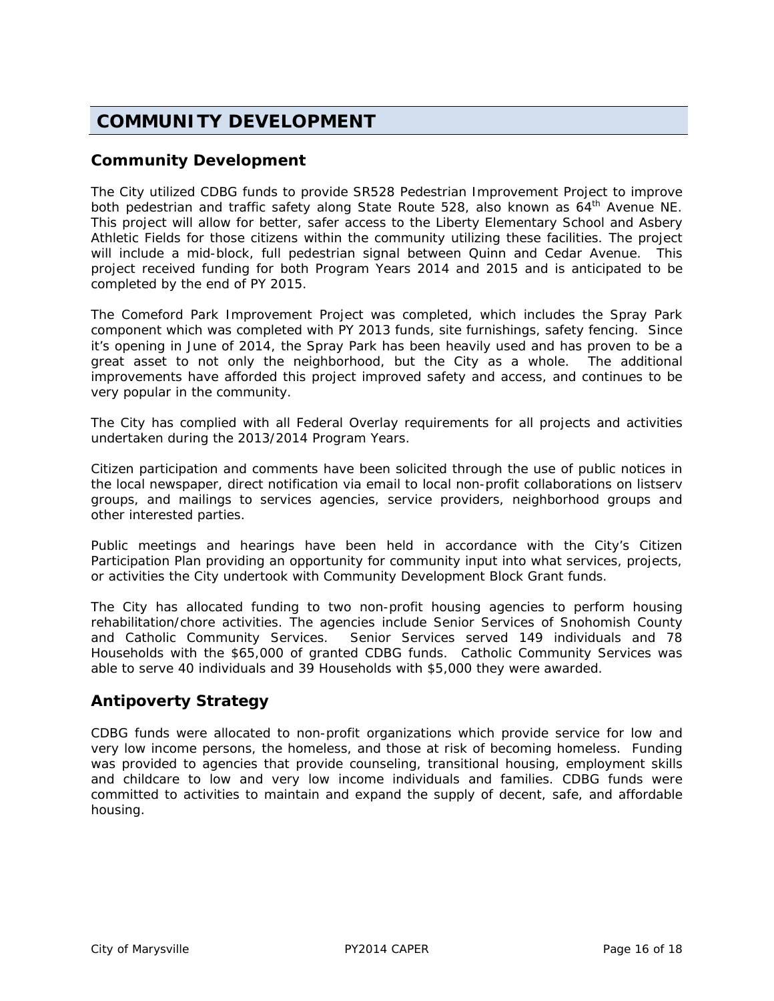# **COMMUNITY DEVELOPMENT**

## **Community Development**

The City utilized CDBG funds to provide SR528 Pedestrian Improvement Project to improve both pedestrian and traffic safety along State Route 528, also known as 64<sup>th</sup> Avenue NE. This project will allow for better, safer access to the Liberty Elementary School and Asbery Athletic Fields for those citizens within the community utilizing these facilities. The project will include a mid-block, full pedestrian signal between Quinn and Cedar Avenue. This project received funding for both Program Years 2014 and 2015 and is anticipated to be completed by the end of PY 2015.

The Comeford Park Improvement Project was completed, which includes the Spray Park component which was completed with PY 2013 funds, site furnishings, safety fencing. Since it's opening in June of 2014, the Spray Park has been heavily used and has proven to be a great asset to not only the neighborhood, but the City as a whole. The additional improvements have afforded this project improved safety and access, and continues to be very popular in the community.

The City has complied with all Federal Overlay requirements for all projects and activities undertaken during the 2013/2014 Program Years.

Citizen participation and comments have been solicited through the use of public notices in the local newspaper, direct notification via email to local non-profit collaborations on listserv groups, and mailings to services agencies, service providers, neighborhood groups and other interested parties.

Public meetings and hearings have been held in accordance with the City's Citizen Participation Plan providing an opportunity for community input into what services, projects, or activities the City undertook with Community Development Block Grant funds.

The City has allocated funding to two non-profit housing agencies to perform housing rehabilitation/chore activities. The agencies include Senior Services of Snohomish County and Catholic Community Services. Senior Services served 149 individuals and 78 Households with the \$65,000 of granted CDBG funds. Catholic Community Services was able to serve 40 individuals and 39 Households with \$5,000 they were awarded.

## **Antipoverty Strategy**

CDBG funds were allocated to non-profit organizations which provide service for low and very low income persons, the homeless, and those at risk of becoming homeless. Funding was provided to agencies that provide counseling, transitional housing, employment skills and childcare to low and very low income individuals and families. CDBG funds were committed to activities to maintain and expand the supply of decent, safe, and affordable housing.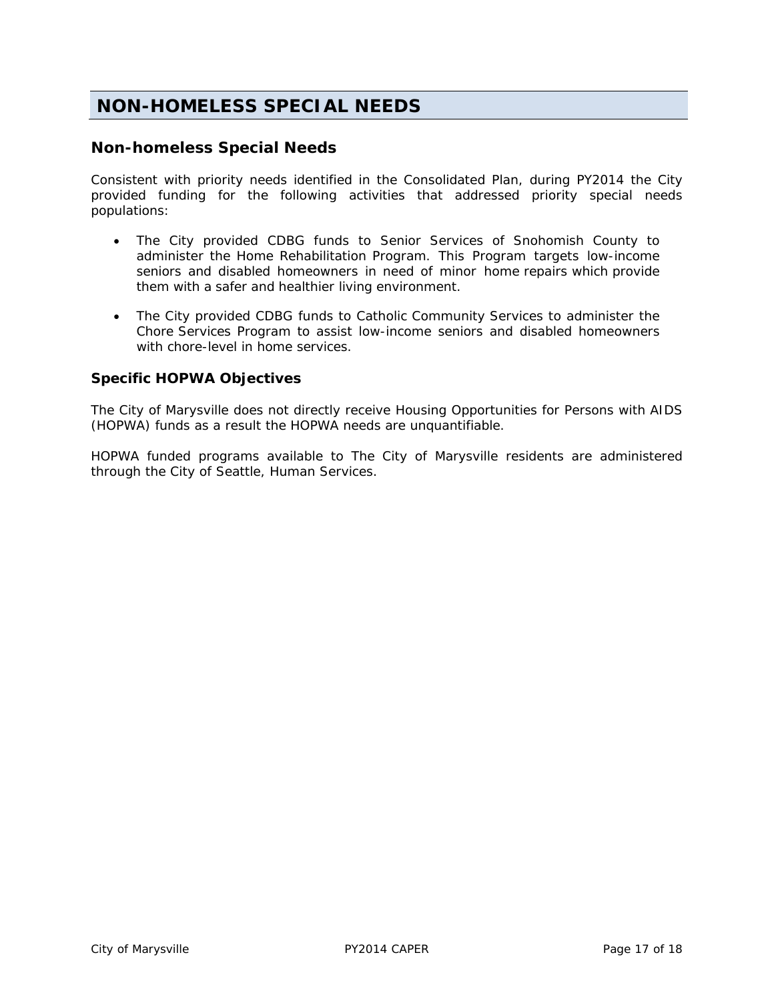# **NON-HOMELESS SPECIAL NEEDS**

## **Non-homeless Special Needs**

Consistent with priority needs identified in the Consolidated Plan, during PY2014 the City provided funding for the following activities that addressed priority special needs populations:

- The City provided CDBG funds to Senior Services of Snohomish County to administer the Home Rehabilitation Program. This Program targets low-income seniors and disabled homeowners in need of minor home repairs which provide them with a safer and healthier living environment.
- The City provided CDBG funds to Catholic Community Services to administer the Chore Services Program to assist low-income seniors and disabled homeowners with chore-level in home services.

## **Specific HOPWA Objectives**

The City of Marysville does not directly receive Housing Opportunities for Persons with AIDS (HOPWA) funds as a result the HOPWA needs are unquantifiable.

HOPWA funded programs available to The City of Marysville residents are administered through the City of Seattle, Human Services.